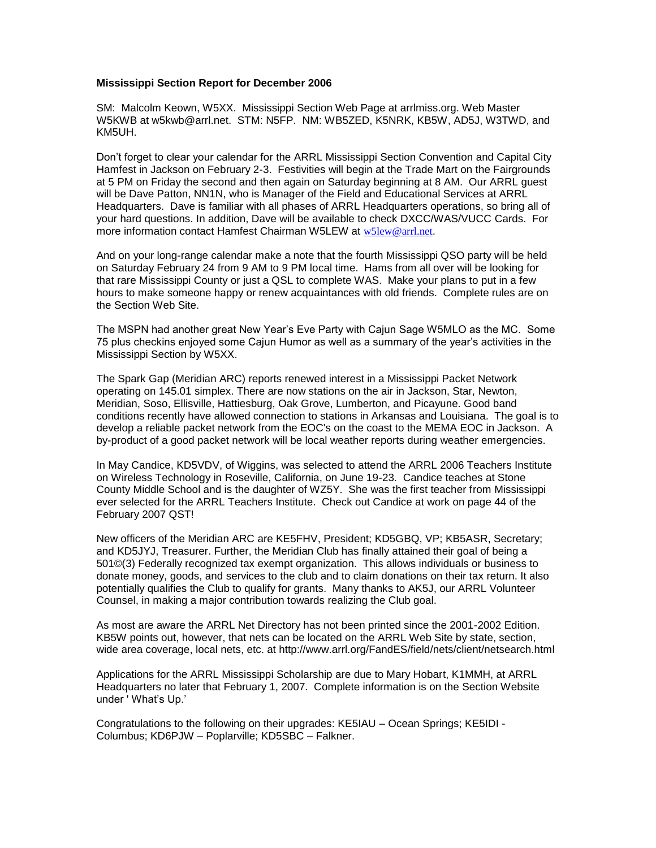## **Mississippi Section Report for December 2006**

SM: Malcolm Keown, W5XX. Mississippi Section Web Page at arrlmiss.org. Web Master W5KWB at w5kwb@arrl.net. STM: N5FP. NM: WB5ZED, K5NRK, KB5W, AD5J, W3TWD, and KM5UH.

Don't forget to clear your calendar for the ARRL Mississippi Section Convention and Capital City Hamfest in Jackson on February 2-3. Festivities will begin at the Trade Mart on the Fairgrounds at 5 PM on Friday the second and then again on Saturday beginning at 8 AM. Our ARRL guest will be Dave Patton, NN1N, who is Manager of the Field and Educational Services at ARRL Headquarters. Dave is familiar with all phases of ARRL Headquarters operations, so bring all of your hard questions. In addition, Dave will be available to check DXCC/WAS/VUCC Cards. For more information contact Hamfest Chairman W5LEW at [w5lew@arrl.net](mailto:w5lew@arrl.net).

And on your long-range calendar make a note that the fourth Mississippi QSO party will be held on Saturday February 24 from 9 AM to 9 PM local time. Hams from all over will be looking for that rare Mississippi County or just a QSL to complete WAS. Make your plans to put in a few hours to make someone happy or renew acquaintances with old friends. Complete rules are on the Section Web Site.

The MSPN had another great New Year's Eve Party with Cajun Sage W5MLO as the MC. Some 75 plus checkins enjoyed some Cajun Humor as well as a summary of the year's activities in the Mississippi Section by W5XX.

The Spark Gap (Meridian ARC) reports renewed interest in a Mississippi Packet Network operating on 145.01 simplex. There are now stations on the air in Jackson, Star, Newton, Meridian, Soso, Ellisville, Hattiesburg, Oak Grove, Lumberton, and Picayune. Good band conditions recently have allowed connection to stations in Arkansas and Louisiana. The goal is to develop a reliable packet network from the EOC's on the coast to the MEMA EOC in Jackson. A by-product of a good packet network will be local weather reports during weather emergencies.

In May Candice, KD5VDV, of Wiggins, was selected to attend the ARRL 2006 Teachers Institute on Wireless Technology in Roseville, California, on June 19-23. Candice teaches at Stone County Middle School and is the daughter of WZ5Y. She was the first teacher from Mississippi ever selected for the ARRL Teachers Institute. Check out Candice at work on page 44 of the February 2007 QST!

New officers of the Meridian ARC are KE5FHV, President; KD5GBQ, VP; KB5ASR, Secretary; and KD5JYJ, Treasurer. Further, the Meridian Club has finally attained their goal of being a 501©(3) Federally recognized tax exempt organization. This allows individuals or business to donate money, goods, and services to the club and to claim donations on their tax return. It also potentially qualifies the Club to qualify for grants. Many thanks to AK5J, our ARRL Volunteer Counsel, in making a major contribution towards realizing the Club goal.

As most are aware the ARRL Net Directory has not been printed since the 2001-2002 Edition. KB5W points out, however, that nets can be located on the ARRL Web Site by state, section, wide area coverage, local nets, etc. at http://www.arrl.org/FandES/field/nets/client/netsearch.html

Applications for the ARRL Mississippi Scholarship are due to Mary Hobart, K1MMH, at ARRL Headquarters no later that February 1, 2007. Complete information is on the Section Website under ' What's Up.'

Congratulations to the following on their upgrades: KE5IAU – Ocean Springs; KE5IDI - Columbus; KD6PJW – Poplarville; KD5SBC – Falkner.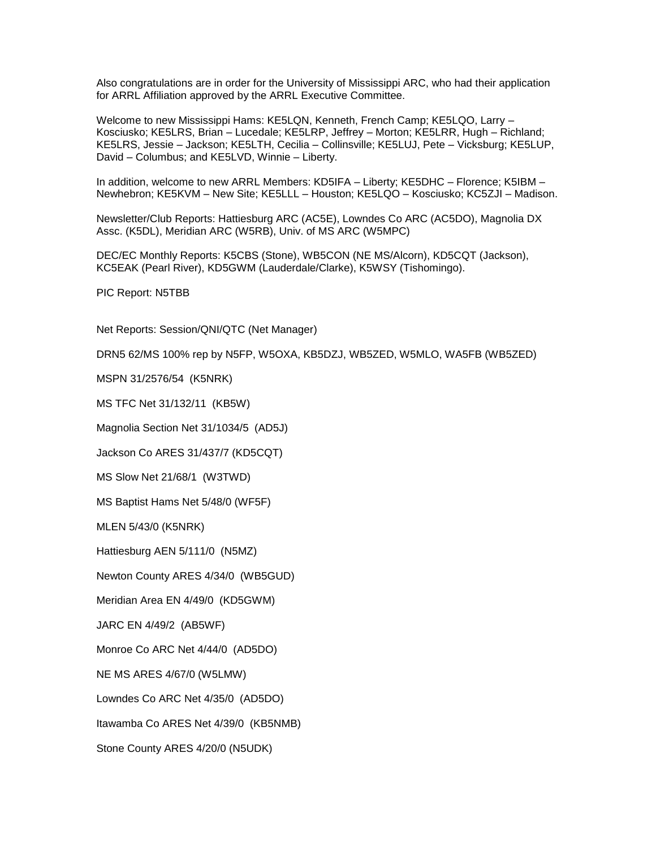Also congratulations are in order for the University of Mississippi ARC, who had their application for ARRL Affiliation approved by the ARRL Executive Committee.

Welcome to new Mississippi Hams: KE5LQN, Kenneth, French Camp; KE5LQO, Larry – Kosciusko; KE5LRS, Brian – Lucedale; KE5LRP, Jeffrey – Morton; KE5LRR, Hugh – Richland; KE5LRS, Jessie – Jackson; KE5LTH, Cecilia – Collinsville; KE5LUJ, Pete – Vicksburg; KE5LUP, David – Columbus; and KE5LVD, Winnie – Liberty.

In addition, welcome to new ARRL Members: KD5IFA – Liberty; KE5DHC – Florence; K5IBM – Newhebron; KE5KVM – New Site; KE5LLL – Houston; KE5LQO – Kosciusko; KC5ZJI – Madison.

Newsletter/Club Reports: Hattiesburg ARC (AC5E), Lowndes Co ARC (AC5DO), Magnolia DX Assc. (K5DL), Meridian ARC (W5RB), Univ. of MS ARC (W5MPC)

DEC/EC Monthly Reports: K5CBS (Stone), WB5CON (NE MS/Alcorn), KD5CQT (Jackson), KC5EAK (Pearl River), KD5GWM (Lauderdale/Clarke), K5WSY (Tishomingo).

PIC Report: N5TBB

Net Reports: Session/QNI/QTC (Net Manager)

DRN5 62/MS 100% rep by N5FP, W5OXA, KB5DZJ, WB5ZED, W5MLO, WA5FB (WB5ZED)

MSPN 31/2576/54 (K5NRK)

MS TFC Net 31/132/11 (KB5W)

Magnolia Section Net 31/1034/5 (AD5J)

Jackson Co ARES 31/437/7 (KD5CQT)

MS Slow Net 21/68/1 (W3TWD)

MS Baptist Hams Net 5/48/0 (WF5F)

MLEN 5/43/0 (K5NRK)

Hattiesburg AEN 5/111/0 (N5MZ)

Newton County ARES 4/34/0 (WB5GUD)

Meridian Area EN 4/49/0 (KD5GWM)

JARC EN 4/49/2 (AB5WF)

Monroe Co ARC Net 4/44/0 (AD5DO)

NE MS ARES 4/67/0 (W5LMW)

Lowndes Co ARC Net 4/35/0 (AD5DO)

Itawamba Co ARES Net 4/39/0 (KB5NMB)

Stone County ARES 4/20/0 (N5UDK)